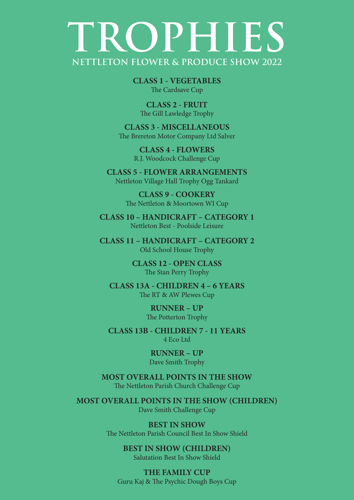## **TROPHIES NETTLETON FLOWER & PRODUCE SHOW 2022**

**CLASS 1 - VEGETABLES** The Cardsave Cup

**CLASS 2 - FRUIT** The Gill Lawledge Trophy

**CLASS 3 - MISCELLANEOUS** The Brereton Motor Company Ltd Salver

> **CLASS 4 - FLOWERS** R.J. Woodcock Challenge Cup

**CLASS 5 - FLOWER ARRANGEMENTS** Nettleton Village Hall Trophy Ogg Tankard

> **CLASS 9 - COOKERY** The Nettleton & Moortown WI Cup

**CLASS 10 – HANDICRAFT – CATEGORY 1** Nettleton Best - Poolside Leisure

**CLASS 11 – HANDICRAFT – CATEGORY 2** Old School House Trophy

> **CLASS 12 - OPEN CLASS** The Stan Perry Trophy

**CLASS 13A - CHILDREN 4 – 6 YEARS** The RT & AW Plewes Cup

> **RUNNER – UP** The Potterton Trophy

**CLASS 13B - CHILDREN 7 - 11 YEARS** 4 Eco Ltd

> **RUNNER – UP** Dave Smith Trophy

**MOST OVERALL POINTS IN THE SHOW** The Nettleton Parish Church Challenge Cup

**MOST OVERALL POINTS IN THE SHOW (CHILDREN)** Dave Smith Challenge Cup

> **BEST IN SHOW** The Nettleton Parish Council Best In Show Shield

> > **BEST IN SHOW (CHILDREN)** Salutation Best In Show Shield

**THE FAMILY CUP** Guru Kaj & The Psychic Dough Boys Cup